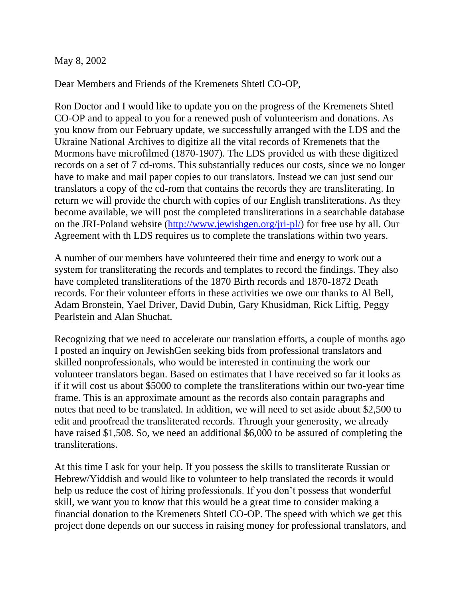#### May 8, 2002

Dear Members and Friends of the Kremenets Shtetl CO-OP,

Ron Doctor and I would like to update you on the progress of the Kremenets Shtetl CO-OP and to appeal to you for a renewed push of volunteerism and donations. As you know from our February update, we successfully arranged with the LDS and the Ukraine National Archives to digitize all the vital records of Kremenets that the Mormons have microfilmed (1870-1907). The LDS provided us with these digitized records on a set of 7 cd-roms. This substantially reduces our costs, since we no longer have to make and mail paper copies to our translators. Instead we can just send our translators a copy of the cd-rom that contains the records they are transliterating. In return we will provide the church with copies of our English transliterations. As they become available, we will post the completed transliterations in a searchable database on the JRI-Poland website [\(http://www.jewishgen.org/jri-pl/\)](http://www.jewishgen.org/jri-pl/) for free use by all. Our Agreement with th LDS requires us to complete the translations within two years.

A number of our members have volunteered their time and energy to work out a system for transliterating the records and templates to record the findings. They also have completed transliterations of the 1870 Birth records and 1870-1872 Death records. For their volunteer efforts in these activities we owe our thanks to Al Bell, Adam Bronstein, Yael Driver, David Dubin, Gary Khusidman, Rick Liftig, Peggy Pearlstein and Alan Shuchat.

Recognizing that we need to accelerate our translation efforts, a couple of months ago I posted an inquiry on JewishGen seeking bids from professional translators and skilled nonprofessionals, who would be interested in continuing the work our volunteer translators began. Based on estimates that I have received so far it looks as if it will cost us about \$5000 to complete the transliterations within our two-year time frame. This is an approximate amount as the records also contain paragraphs and notes that need to be translated. In addition, we will need to set aside about \$2,500 to edit and proofread the transliterated records. Through your generosity, we already have raised \$1,508. So, we need an additional \$6,000 to be assured of completing the transliterations.

At this time I ask for your help. If you possess the skills to transliterate Russian or Hebrew/Yiddish and would like to volunteer to help translated the records it would help us reduce the cost of hiring professionals. If you don't possess that wonderful skill, we want you to know that this would be a great time to consider making a financial donation to the Kremenets Shtetl CO-OP. The speed with which we get this project done depends on our success in raising money for professional translators, and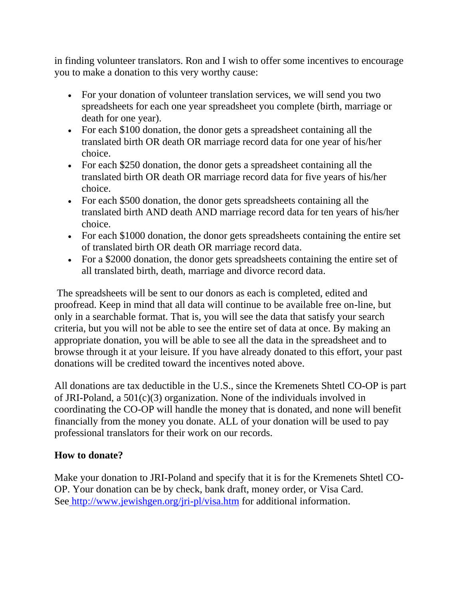in finding volunteer translators. Ron and I wish to offer some incentives to encourage you to make a donation to this very worthy cause:

- For your donation of volunteer translation services, we will send you two spreadsheets for each one year spreadsheet you complete (birth, marriage or death for one year).
- For each \$100 donation, the donor gets a spreadsheet containing all the translated birth OR death OR marriage record data for one year of his/her choice.
- For each \$250 donation, the donor gets a spreadsheet containing all the translated birth OR death OR marriage record data for five years of his/her choice.
- For each \$500 donation, the donor gets spreadsheets containing all the translated birth AND death AND marriage record data for ten years of his/her choice.
- For each \$1000 donation, the donor gets spreadsheets containing the entire set of translated birth OR death OR marriage record data.
- For a \$2000 donation, the donor gets spreadsheets containing the entire set of all translated birth, death, marriage and divorce record data.

The spreadsheets will be sent to our donors as each is completed, edited and proofread. Keep in mind that all data will continue to be available free on-line, but only in a searchable format. That is, you will see the data that satisfy your search criteria, but you will not be able to see the entire set of data at once. By making an appropriate donation, you will be able to see all the data in the spreadsheet and to browse through it at your leisure. If you have already donated to this effort, your past donations will be credited toward the incentives noted above.

All donations are tax deductible in the U.S., since the Kremenets Shtetl CO-OP is part of JRI-Poland, a 501(c)(3) organization. None of the individuals involved in coordinating the CO-OP will handle the money that is donated, and none will benefit financially from the money you donate. ALL of your donation will be used to pay professional translators for their work on our records.

# **How to donate?**

Make your donation to JRI-Poland and specify that it is for the Kremenets Shtetl CO-OP. Your donation can be by check, bank draft, money order, or Visa Card. See <http://www.jewishgen.org/jri-pl/visa.htm> for additional information.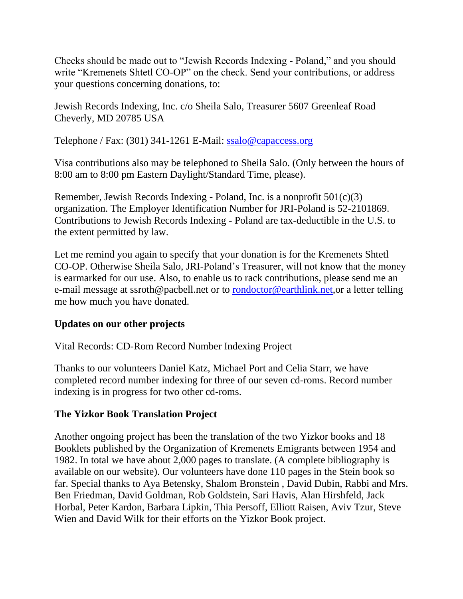Checks should be made out to "Jewish Records Indexing - Poland," and you should write "Kremenets Shtetl CO-OP" on the check. Send your contributions, or address your questions concerning donations, to:

Jewish Records Indexing, Inc. c/o Sheila Salo, Treasurer 5607 Greenleaf Road Cheverly, MD 20785 USA

Telephone / Fax: (301) 341-1261 E-Mail: [ssalo@capaccess.org](mailto:ssalo@capaccess.org)

Visa contributions also may be telephoned to Sheila Salo. (Only between the hours of 8:00 am to 8:00 pm Eastern Daylight/Standard Time, please).

Remember, Jewish Records Indexing - Poland, Inc. is a nonprofit 501(c)(3) organization. The Employer Identification Number for JRI-Poland is 52-2101869. Contributions to Jewish Records Indexing - Poland are tax-deductible in the U.S. to the extent permitted by law.

Let me remind you again to specify that your donation is for the Kremenets Shtetl CO-OP. Otherwise Sheila Salo, JRI-Poland's Treasurer, will not know that the money is earmarked for our use. Also, to enable us to rack contributions, please send me an e-mail message at ssroth@pacbell.net or to **rondoctor@earthlink.net**, or a letter telling me how much you have donated.

### **Updates on our other projects**

Vital Records: CD-Rom Record Number Indexing Project

Thanks to our volunteers Daniel Katz, Michael Port and Celia Starr, we have completed record number indexing for three of our seven cd-roms. Record number indexing is in progress for two other cd-roms.

### **The Yizkor Book Translation Project**

Another ongoing project has been the translation of the two Yizkor books and 18 Booklets published by the Organization of Kremenets Emigrants between 1954 and 1982. In total we have about 2,000 pages to translate. (A complete bibliography is available on our website). Our volunteers have done 110 pages in the Stein book so far. Special thanks to Aya Betensky, Shalom Bronstein , David Dubin, Rabbi and Mrs. Ben Friedman, David Goldman, Rob Goldstein, Sari Havis, Alan Hirshfeld, Jack Horbal, Peter Kardon, Barbara Lipkin, Thia Persoff, Elliott Raisen, Aviv Tzur, Steve Wien and David Wilk for their efforts on the Yizkor Book project.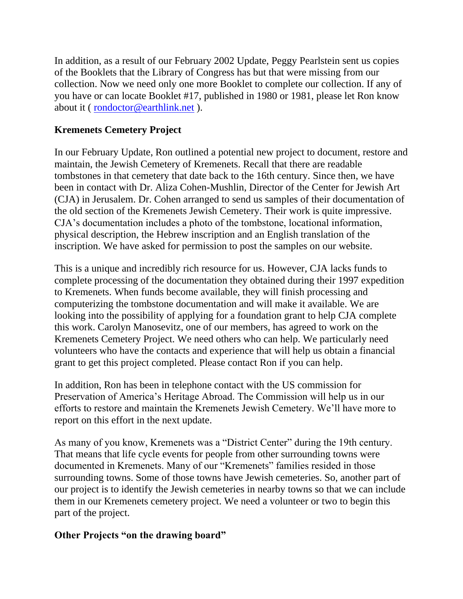In addition, as a result of our February 2002 Update, Peggy Pearlstein sent us copies of the Booklets that the Library of Congress has but that were missing from our collection. Now we need only one more Booklet to complete our collection. If any of you have or can locate Booklet #17, published in 1980 or 1981, please let Ron know about it ( [rondoctor@earthlink.net](mailto:rondoctor@earthlink.net) ).

## **Kremenets Cemetery Project**

In our February Update, Ron outlined a potential new project to document, restore and maintain, the Jewish Cemetery of Kremenets. Recall that there are readable tombstones in that cemetery that date back to the 16th century. Since then, we have been in contact with Dr. Aliza Cohen-Mushlin, Director of the Center for Jewish Art (CJA) in Jerusalem. Dr. Cohen arranged to send us samples of their documentation of the old section of the Kremenets Jewish Cemetery. Their work is quite impressive. CJA's documentation includes a photo of the tombstone, locational information, physical description, the Hebrew inscription and an English translation of the inscription. We have asked for permission to post the samples on our website.

This is a unique and incredibly rich resource for us. However, CJA lacks funds to complete processing of the documentation they obtained during their 1997 expedition to Kremenets. When funds become available, they will finish processing and computerizing the tombstone documentation and will make it available. We are looking into the possibility of applying for a foundation grant to help CJA complete this work. Carolyn Manosevitz, one of our members, has agreed to work on the Kremenets Cemetery Project. We need others who can help. We particularly need volunteers who have the contacts and experience that will help us obtain a financial grant to get this project completed. Please contact Ron if you can help.

In addition, Ron has been in telephone contact with the US commission for Preservation of America's Heritage Abroad. The Commission will help us in our efforts to restore and maintain the Kremenets Jewish Cemetery. We'll have more to report on this effort in the next update.

As many of you know, Kremenets was a "District Center" during the 19th century. That means that life cycle events for people from other surrounding towns were documented in Kremenets. Many of our "Kremenets" families resided in those surrounding towns. Some of those towns have Jewish cemeteries. So, another part of our project is to identify the Jewish cemeteries in nearby towns so that we can include them in our Kremenets cemetery project. We need a volunteer or two to begin this part of the project.

#### **Other Projects "on the drawing board"**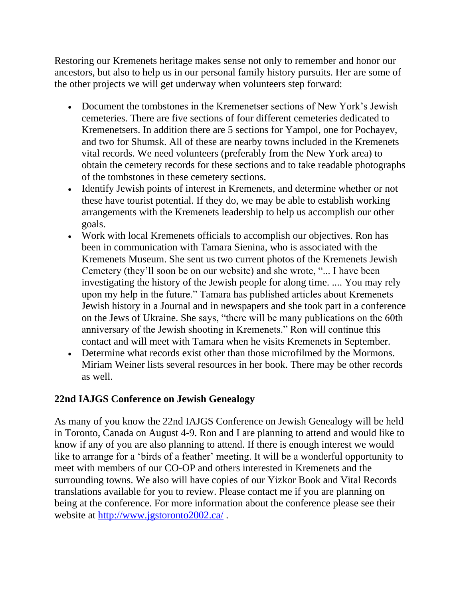Restoring our Kremenets heritage makes sense not only to remember and honor our ancestors, but also to help us in our personal family history pursuits. Her are some of the other projects we will get underway when volunteers step forward:

- Document the tombstones in the Kremenetser sections of New York's Jewish cemeteries. There are five sections of four different cemeteries dedicated to Kremenetsers. In addition there are 5 sections for Yampol, one for Pochayev, and two for Shumsk. All of these are nearby towns included in the Kremenets vital records. We need volunteers (preferably from the New York area) to obtain the cemetery records for these sections and to take readable photographs of the tombstones in these cemetery sections.
- Identify Jewish points of interest in Kremenets, and determine whether or not these have tourist potential. If they do, we may be able to establish working arrangements with the Kremenets leadership to help us accomplish our other goals.
- Work with local Kremenets officials to accomplish our objectives. Ron has been in communication with Tamara Sienina, who is associated with the Kremenets Museum. She sent us two current photos of the Kremenets Jewish Cemetery (they'll soon be on our website) and she wrote, "... I have been investigating the history of the Jewish people for along time. .... You may rely upon my help in the future." Tamara has published articles about Kremenets Jewish history in a Journal and in newspapers and she took part in a conference on the Jews of Ukraine. She says, "there will be many publications on the 60th anniversary of the Jewish shooting in Kremenets." Ron will continue this contact and will meet with Tamara when he visits Kremenets in September.
- Determine what records exist other than those microfilmed by the Mormons. Miriam Weiner lists several resources in her book. There may be other records as well.

# **22nd IAJGS Conference on Jewish Genealogy**

As many of you know the 22nd IAJGS Conference on Jewish Genealogy will be held in Toronto, Canada on August 4-9. Ron and I are planning to attend and would like to know if any of you are also planning to attend. If there is enough interest we would like to arrange for a 'birds of a feather' meeting. It will be a wonderful opportunity to meet with members of our CO-OP and others interested in Kremenets and the surrounding towns. We also will have copies of our Yizkor Book and Vital Records translations available for you to review. Please contact me if you are planning on being at the conference. For more information about the conference please see their website at <http://www.jgstoronto2002.ca/>.